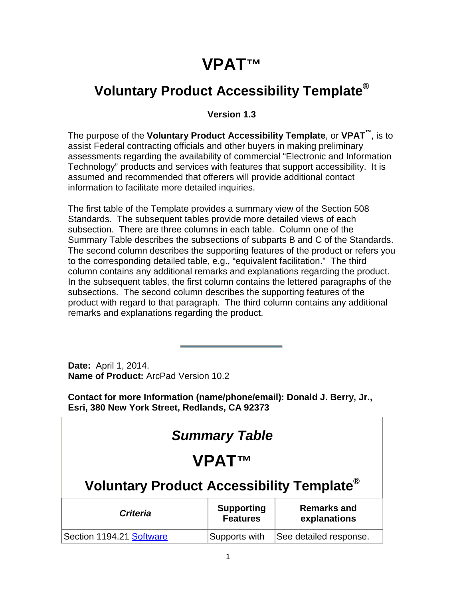## **VPAT™**

## **Voluntary Product Accessibility Template®**

#### **Version 1.3**

The purpose of the **Voluntary Product Accessibility Template**, or **VPAT™**, is to assist Federal contracting officials and other buyers in making preliminary assessments regarding the availability of commercial "Electronic and Information Technology" products and services with features that support accessibility. It is assumed and recommended that offerers will provide additional contact information to facilitate more detailed inquiries.

The first table of the Template provides a summary view of the Section 508 Standards. The subsequent tables provide more detailed views of each subsection. There are three columns in each table. Column one of the Summary Table describes the subsections of subparts B and C of the Standards. The second column describes the supporting features of the product or refers you to the corresponding detailed table, e.g., "equivalent facilitation." The third column contains any additional remarks and explanations regarding the product. In the subsequent tables, the first column contains the lettered paragraphs of the subsections. The second column describes the supporting features of the product with regard to that paragraph. The third column contains any additional remarks and explanations regarding the product.

**Date:** April 1, 2014. **Name of Product:** ArcPad Version 10.2

**Contact for more Information (name/phone/email): Donald J. Berry, Jr., Esri, 380 New York Street, Redlands, CA 92373**

| <b>Summary Table</b>                                                                          |               |                        |  |
|-----------------------------------------------------------------------------------------------|---------------|------------------------|--|
| <b>VPATTM</b>                                                                                 |               |                        |  |
| Voluntary Product Accessibility Template <sup>®</sup>                                         |               |                        |  |
| <b>Supporting</b><br><b>Remarks and</b><br><b>Criteria</b><br><b>Features</b><br>explanations |               |                        |  |
| Section 1194.21 Software                                                                      | Supports with | See detailed response. |  |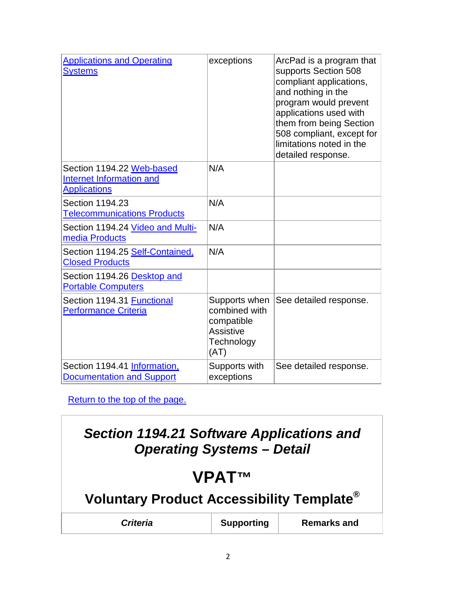| <b>Applications and Operating</b><br><b>Systems</b>                                 | exceptions                                                                             | ArcPad is a program that<br>supports Section 508<br>compliant applications,<br>and nothing in the<br>program would prevent<br>applications used with<br>them from being Section<br>508 compliant, except for<br>limitations noted in the<br>detailed response. |
|-------------------------------------------------------------------------------------|----------------------------------------------------------------------------------------|----------------------------------------------------------------------------------------------------------------------------------------------------------------------------------------------------------------------------------------------------------------|
| Section 1194.22 Web-based<br><b>Internet Information and</b><br><b>Applications</b> | N/A                                                                                    |                                                                                                                                                                                                                                                                |
| Section 1194.23<br><b>Telecommunications Products</b>                               | N/A                                                                                    |                                                                                                                                                                                                                                                                |
| Section 1194.24 Video and Multi-<br>media Products                                  | N/A                                                                                    |                                                                                                                                                                                                                                                                |
| Section 1194.25 Self-Contained.<br><b>Closed Products</b>                           | N/A                                                                                    |                                                                                                                                                                                                                                                                |
| Section 1194.26 Desktop and<br><b>Portable Computers</b>                            |                                                                                        |                                                                                                                                                                                                                                                                |
| Section 1194.31 Functional<br><b>Performance Criteria</b>                           | Supports when<br>combined with<br>compatible<br><b>Assistive</b><br>Technology<br>(AT) | See detailed response.                                                                                                                                                                                                                                         |
| Section 1194.41 Information,<br><b>Documentation and Support</b>                    | Supports with<br>exceptions                                                            | See detailed response.                                                                                                                                                                                                                                         |

Return to the top of the page.

# *Section 1194.21 Software Applications and Operating Systems – Detail* **VPAT™ Voluntary Product Accessibility Template® Criteria Supporting** Remarks and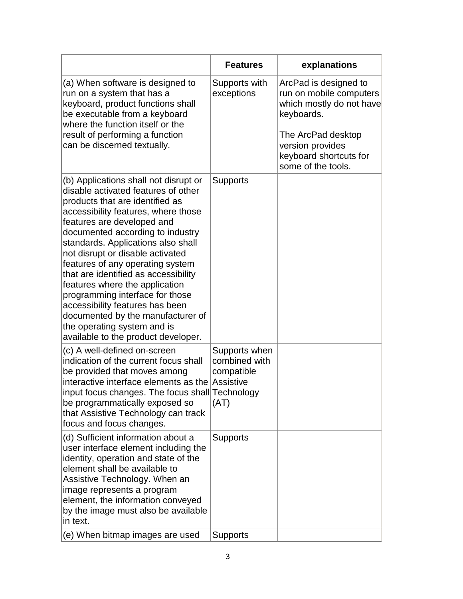|                                                                                                                                                                                                                                                                                                                                                                                                                                                                                                                                                                                                   | <b>Features</b>                                                   | explanations                                                                               |
|---------------------------------------------------------------------------------------------------------------------------------------------------------------------------------------------------------------------------------------------------------------------------------------------------------------------------------------------------------------------------------------------------------------------------------------------------------------------------------------------------------------------------------------------------------------------------------------------------|-------------------------------------------------------------------|--------------------------------------------------------------------------------------------|
| (a) When software is designed to<br>run on a system that has a<br>keyboard, product functions shall<br>be executable from a keyboard<br>where the function itself or the                                                                                                                                                                                                                                                                                                                                                                                                                          | Supports with<br>exceptions                                       | ArcPad is designed to<br>run on mobile computers<br>which mostly do not have<br>keyboards. |
| result of performing a function<br>can be discerned textually.                                                                                                                                                                                                                                                                                                                                                                                                                                                                                                                                    |                                                                   | The ArcPad desktop<br>version provides<br>keyboard shortcuts for<br>some of the tools.     |
| (b) Applications shall not disrupt or<br>disable activated features of other<br>products that are identified as<br>accessibility features, where those<br>features are developed and<br>documented according to industry<br>standards. Applications also shall<br>not disrupt or disable activated<br>features of any operating system<br>that are identified as accessibility<br>features where the application<br>programming interface for those<br>accessibility features has been<br>documented by the manufacturer of<br>the operating system and is<br>available to the product developer. | <b>Supports</b>                                                   |                                                                                            |
| (c) A well-defined on-screen<br>indication of the current focus shall<br>be provided that moves among<br>interactive interface elements as the<br>input focus changes. The focus shall Technology<br>be programmatically exposed so<br>that Assistive Technology can track<br>focus and focus changes.                                                                                                                                                                                                                                                                                            | Supports when<br>combined with<br>compatible<br>Assistive<br>(AT) |                                                                                            |
| (d) Sufficient information about a<br>user interface element including the<br>identity, operation and state of the<br>element shall be available to<br>Assistive Technology. When an<br>image represents a program<br>element, the information conveyed<br>by the image must also be available<br>in text.                                                                                                                                                                                                                                                                                        | <b>Supports</b>                                                   |                                                                                            |
| (e) When bitmap images are used                                                                                                                                                                                                                                                                                                                                                                                                                                                                                                                                                                   | <b>Supports</b>                                                   |                                                                                            |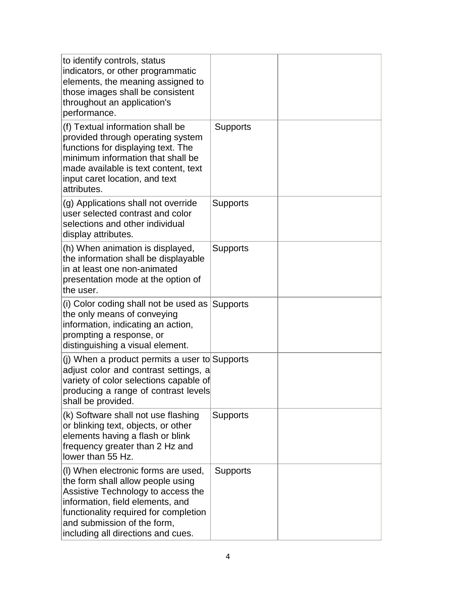| to identify controls, status<br>indicators, or other programmatic<br>elements, the meaning assigned to<br>those images shall be consistent<br>throughout an application's<br>performance.                                                                        |                 |  |
|------------------------------------------------------------------------------------------------------------------------------------------------------------------------------------------------------------------------------------------------------------------|-----------------|--|
| (f) Textual information shall be<br>provided through operating system<br>functions for displaying text. The<br>minimum information that shall be<br>made available is text content, text<br>input caret location, and text<br>attributes.                        | <b>Supports</b> |  |
| (g) Applications shall not override<br>user selected contrast and color<br>selections and other individual<br>display attributes.                                                                                                                                | <b>Supports</b> |  |
| (h) When animation is displayed,<br>the information shall be displayable<br>in at least one non-animated<br>presentation mode at the option of<br>the user.                                                                                                      | <b>Supports</b> |  |
| (i) Color coding shall not be used as<br>the only means of conveying<br>information, indicating an action,<br>prompting a response, or<br>distinguishing a visual element.                                                                                       | Supports        |  |
| (j) When a product permits a user to Supports<br>adjust color and contrast settings, a<br>variety of color selections capable of<br>producing a range of contrast levels<br>shall be provided.                                                                   |                 |  |
| (k) Software shall not use flashing<br>or blinking text, objects, or other<br>elements having a flash or blink<br>frequency greater than 2 Hz and<br>lower than 55 Hz.                                                                                           | <b>Supports</b> |  |
| (I) When electronic forms are used,<br>the form shall allow people using<br>Assistive Technology to access the<br>information, field elements, and<br>functionality required for completion<br>and submission of the form,<br>including all directions and cues. | <b>Supports</b> |  |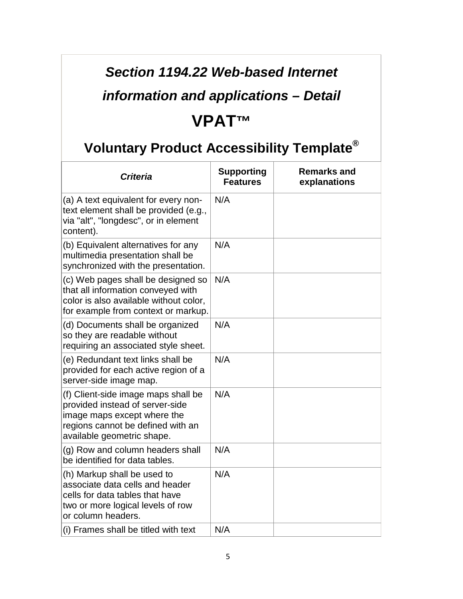## *Section 1194.22 Web-based Internet*

## *information and applications – Detail*

#### **VPAT™**

| <b>Criteria</b>                                                                                                                                                          | <b>Supporting</b><br><b>Features</b> | <b>Remarks and</b><br>explanations |
|--------------------------------------------------------------------------------------------------------------------------------------------------------------------------|--------------------------------------|------------------------------------|
| (a) A text equivalent for every non-<br>text element shall be provided (e.g.,<br>via "alt", "longdesc", or in element<br>content).                                       | N/A                                  |                                    |
| (b) Equivalent alternatives for any<br>multimedia presentation shall be<br>synchronized with the presentation.                                                           | N/A                                  |                                    |
| (c) Web pages shall be designed so<br>that all information conveyed with<br>color is also available without color,<br>for example from context or markup.                | N/A                                  |                                    |
| (d) Documents shall be organized<br>so they are readable without<br>requiring an associated style sheet.                                                                 | N/A                                  |                                    |
| (e) Redundant text links shall be<br>provided for each active region of a<br>server-side image map.                                                                      | N/A                                  |                                    |
| (f) Client-side image maps shall be<br>provided instead of server-side<br>image maps except where the<br>regions cannot be defined with an<br>available geometric shape. | N/A                                  |                                    |
| (g) Row and column headers shall<br>be identified for data tables.                                                                                                       | N/A                                  |                                    |
| (h) Markup shall be used to<br>associate data cells and header<br>cells for data tables that have<br>two or more logical levels of row<br>or column headers.             | N/A                                  |                                    |
| (i) Frames shall be titled with text                                                                                                                                     | N/A                                  |                                    |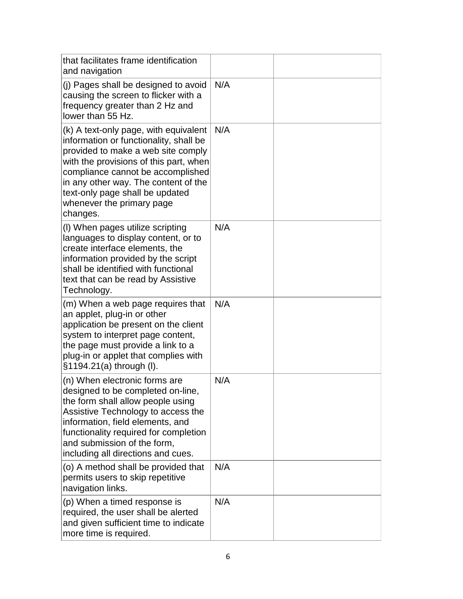| that facilitates frame identification<br>and navigation                                                                                                                                                                                                                                                                  |     |  |
|--------------------------------------------------------------------------------------------------------------------------------------------------------------------------------------------------------------------------------------------------------------------------------------------------------------------------|-----|--|
| (j) Pages shall be designed to avoid<br>causing the screen to flicker with a<br>frequency greater than 2 Hz and<br>lower than 55 Hz.                                                                                                                                                                                     | N/A |  |
| (k) A text-only page, with equivalent<br>information or functionality, shall be<br>provided to make a web site comply<br>with the provisions of this part, when<br>compliance cannot be accomplished<br>in any other way. The content of the<br>text-only page shall be updated<br>whenever the primary page<br>changes. | N/A |  |
| (I) When pages utilize scripting<br>languages to display content, or to<br>create interface elements, the<br>information provided by the script<br>shall be identified with functional<br>text that can be read by Assistive<br>Technology.                                                                              | N/A |  |
| (m) When a web page requires that<br>an applet, plug-in or other<br>application be present on the client<br>system to interpret page content,<br>the page must provide a link to a<br>plug-in or applet that complies with<br>§1194.21(a) through (I).                                                                   | N/A |  |
| (n) When electronic forms are<br>designed to be completed on-line<br>the form shall allow people using<br>Assistive Technology to access the<br>information, field elements, and<br>functionality required for completion<br>and submission of the form,<br>including all directions and cues.                           | N/A |  |
| (o) A method shall be provided that<br>permits users to skip repetitive<br>navigation links.                                                                                                                                                                                                                             | N/A |  |
| (p) When a timed response is<br>required, the user shall be alerted<br>and given sufficient time to indicate<br>more time is required.                                                                                                                                                                                   | N/A |  |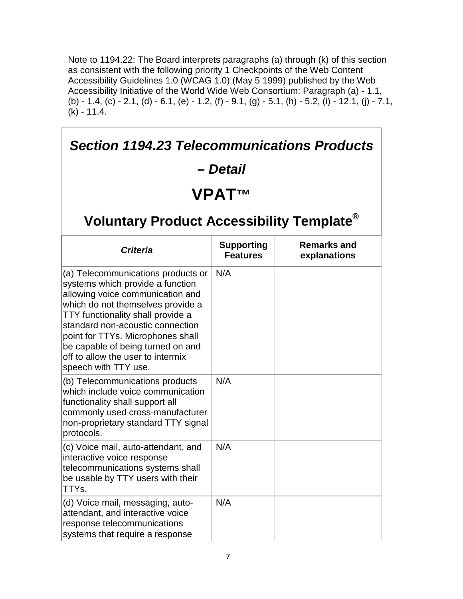Note to 1194.22: The Board interprets paragraphs (a) through (k) of this section as consistent with the following priority 1 Checkpoints of the Web Content Accessibility Guidelines 1.0 (WCAG 1.0) (May 5 1999) published by the Web Accessibility Initiative of the World Wide Web Consortium: Paragraph (a) - 1.1, (b) - 1.4, (c) - 2.1, (d) - 6.1, (e) - 1.2, (f) - 9.1, (g) - 5.1, (h) - 5.2, (i) - 12.1, (j) - 7.1,  $(k) - 11.4.$ 

| <b>Section 1194.23 Telecommunications Products</b>                                                                                                                                                                                                                                                                                                              |                                      |                                    |
|-----------------------------------------------------------------------------------------------------------------------------------------------------------------------------------------------------------------------------------------------------------------------------------------------------------------------------------------------------------------|--------------------------------------|------------------------------------|
|                                                                                                                                                                                                                                                                                                                                                                 | – Detail                             |                                    |
|                                                                                                                                                                                                                                                                                                                                                                 | <b>VPATTM</b>                        |                                    |
| Voluntary Product Accessibility Template <sup>®</sup>                                                                                                                                                                                                                                                                                                           |                                      |                                    |
| <b>Criteria</b>                                                                                                                                                                                                                                                                                                                                                 | <b>Supporting</b><br><b>Features</b> | <b>Remarks and</b><br>explanations |
| (a) Telecommunications products or<br>systems which provide a function<br>allowing voice communication and<br>which do not themselves provide a<br>TTY functionality shall provide a<br>standard non-acoustic connection<br>point for TTYs. Microphones shall<br>be capable of being turned on and<br>off to allow the user to intermix<br>speech with TTY use. | N/A                                  |                                    |
| (b) Telecommunications products<br>which include voice communication<br>functionality shall support all<br>commonly used cross-manufacturer<br>non-proprietary standard TTY signal<br>protocols.                                                                                                                                                                | N/A                                  |                                    |
| (c) Voice mail, auto-attendant, and<br>interactive voice response<br>telecommunications systems shall<br>be usable by TTY users with their<br>TTYs.                                                                                                                                                                                                             | N/A                                  |                                    |
| (d) Voice mail, messaging, auto-<br>attendant, and interactive voice<br>response telecommunications<br>systems that require a response                                                                                                                                                                                                                          | N/A                                  |                                    |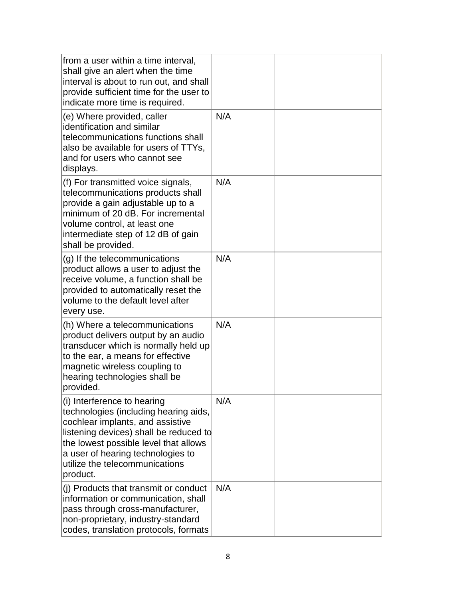| from a user within a time interval,<br>shall give an alert when the time<br>interval is about to run out, and shall<br>provide sufficient time for the user to<br>indicate more time is required.                                                                              |     |  |
|--------------------------------------------------------------------------------------------------------------------------------------------------------------------------------------------------------------------------------------------------------------------------------|-----|--|
| (e) Where provided, caller<br>identification and similar<br>telecommunications functions shall<br>also be available for users of TTYs,<br>and for users who cannot see<br>displays.                                                                                            | N/A |  |
| (f) For transmitted voice signals,<br>telecommunications products shall<br>provide a gain adjustable up to a<br>minimum of 20 dB. For incremental<br>volume control, at least one<br>intermediate step of 12 dB of gain<br>shall be provided.                                  | N/A |  |
| (g) If the telecommunications<br>product allows a user to adjust the<br>receive volume, a function shall be<br>provided to automatically reset the<br>volume to the default level after<br>every use.                                                                          | N/A |  |
| (h) Where a telecommunications<br>product delivers output by an audio<br>transducer which is normally held up<br>to the ear, a means for effective<br>magnetic wireless coupling to<br>hearing technologies shall be<br>provided.                                              | N/A |  |
| (i) Interference to hearing<br>technologies (including hearing aids,<br>cochlear implants, and assistive<br>listening devices) shall be reduced to<br>the lowest possible level that allows<br>a user of hearing technologies to<br>utilize the telecommunications<br>product. | N/A |  |
| (i) Products that transmit or conduct<br>information or communication, shall<br>pass through cross-manufacturer,<br>non-proprietary, industry-standard<br>codes, translation protocols, formats                                                                                | N/A |  |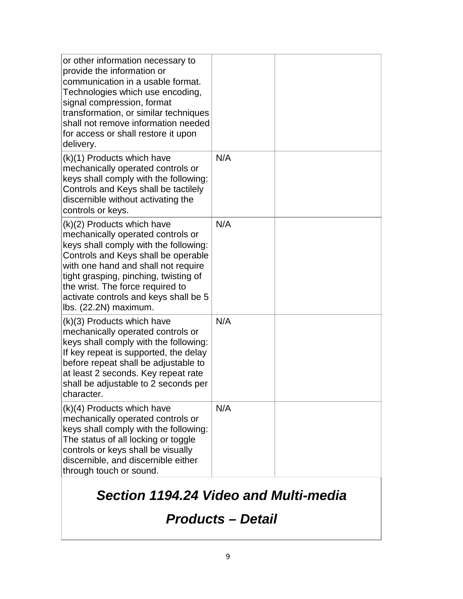| or other information necessary to<br>provide the information or<br>communication in a usable format.<br>Technologies which use encoding,<br>signal compression, format<br>transformation, or similar techniques<br>shall not remove information needed<br>for access or shall restore it upon<br>delivery.                            |     |  |
|---------------------------------------------------------------------------------------------------------------------------------------------------------------------------------------------------------------------------------------------------------------------------------------------------------------------------------------|-----|--|
| (k)(1) Products which have<br>mechanically operated controls or<br>keys shall comply with the following:<br>Controls and Keys shall be tactilely<br>discernible without activating the<br>controls or keys.                                                                                                                           | N/A |  |
| (k)(2) Products which have<br>mechanically operated controls or<br>keys shall comply with the following:<br>Controls and Keys shall be operable<br>with one hand and shall not require<br>tight grasping, pinching, twisting of<br>the wrist. The force required to<br>activate controls and keys shall be 5<br>lbs. (22.2N) maximum. | N/A |  |
| (k)(3) Products which have<br>mechanically operated controls or<br>keys shall comply with the following:<br>If key repeat is supported, the delay<br>before repeat shall be adjustable to<br>at least 2 seconds. Key repeat rate<br>shall be adjustable to 2 seconds per<br>cnaracter.                                                | N/A |  |
| (k)(4) Products which have<br>mechanically operated controls or<br>keys shall comply with the following:<br>The status of all locking or toggle<br>controls or keys shall be visually<br>discernible, and discernible either<br>through touch or sound.                                                                               | N/A |  |

### *Section 1194.24 Video and Multi-media*

#### *Products – Detail*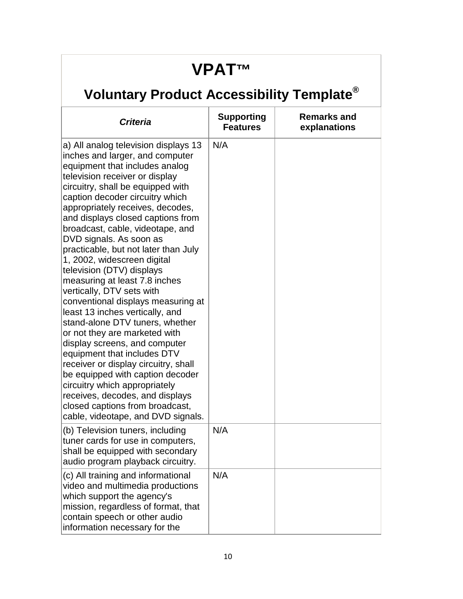## **VPAT™**

| <b>Criteria</b>                                                                                                                                                                                                                                                                                                                                                                                                                                                                                                                                                                                                                                                                                                                                                                                                                                                                                                                                                     | <b>Supporting</b><br><b>Features</b> | <b>Remarks and</b><br>explanations |
|---------------------------------------------------------------------------------------------------------------------------------------------------------------------------------------------------------------------------------------------------------------------------------------------------------------------------------------------------------------------------------------------------------------------------------------------------------------------------------------------------------------------------------------------------------------------------------------------------------------------------------------------------------------------------------------------------------------------------------------------------------------------------------------------------------------------------------------------------------------------------------------------------------------------------------------------------------------------|--------------------------------------|------------------------------------|
| a) All analog television displays 13<br>inches and larger, and computer<br>equipment that includes analog<br>television receiver or display<br>circuitry, shall be equipped with<br>caption decoder circuitry which<br>appropriately receives, decodes,<br>and displays closed captions from<br>broadcast, cable, videotape, and<br>DVD signals. As soon as<br>practicable, but not later than July<br>1, 2002, widescreen digital<br>television (DTV) displays<br>measuring at least 7.8 inches<br>vertically, DTV sets with<br>conventional displays measuring at<br>least 13 inches vertically, and<br>stand-alone DTV tuners, whether<br>or not they are marketed with<br>display screens, and computer<br>equipment that includes DTV<br>receiver or display circuitry, shall<br>be equipped with caption decoder<br>circuitry which appropriately<br>receives, decodes, and displays<br>closed captions from broadcast,<br>cable, videotape, and DVD signals. | N/A                                  |                                    |
| (b) Television tuners, including<br>tuner cards for use in computers,<br>shall be equipped with secondary<br>audio program playback circuitry.                                                                                                                                                                                                                                                                                                                                                                                                                                                                                                                                                                                                                                                                                                                                                                                                                      | N/A                                  |                                    |
| (c) All training and informational<br>video and multimedia productions<br>which support the agency's<br>mission, regardless of format, that<br>contain speech or other audio<br>information necessary for the                                                                                                                                                                                                                                                                                                                                                                                                                                                                                                                                                                                                                                                                                                                                                       | N/A                                  |                                    |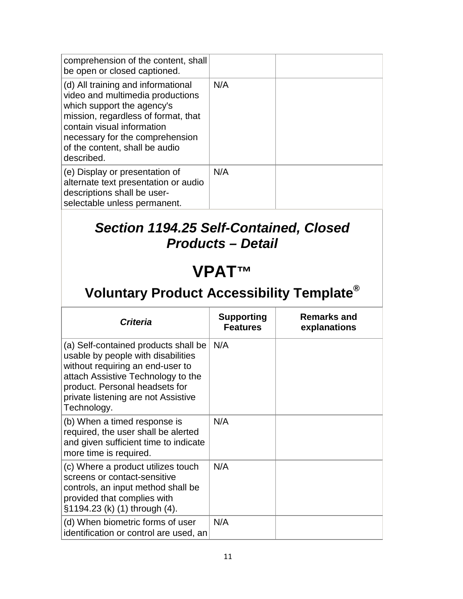| be open or closed captioned.<br>(d) All training and informational                                                                                                                                                     | N/A               |                    |
|------------------------------------------------------------------------------------------------------------------------------------------------------------------------------------------------------------------------|-------------------|--------------------|
| video and multimedia productions<br>which support the agency's<br>mission, regardless of format, that<br>contain visual information<br>necessary for the comprehension<br>of the content, shall be audio<br>described. |                   |                    |
| (e) Display or presentation of<br>alternate text presentation or audio<br>descriptions shall be user-<br>selectable unless permanent.                                                                                  | N/A               |                    |
| <b>Section 1194.25 Self-Contained, Closed</b><br><b>Products - Detail</b>                                                                                                                                              |                   |                    |
| <b>VPATTM</b>                                                                                                                                                                                                          |                   |                    |
| Voluntary Product Accessibility Template <sup>®</sup>                                                                                                                                                                  |                   |                    |
| Critoria                                                                                                                                                                                                               | <b>Supporting</b> | <b>Remarks and</b> |

| <b>Criteria</b>                                                                                                                                                                                                                              | <b>Supporting</b><br><b>Features</b> | <b>Remarks and</b><br>explanations |
|----------------------------------------------------------------------------------------------------------------------------------------------------------------------------------------------------------------------------------------------|--------------------------------------|------------------------------------|
| (a) Self-contained products shall be<br>usable by people with disabilities<br>without requiring an end-user to<br>attach Assistive Technology to the<br>product. Personal headsets for<br>private listening are not Assistive<br>Technology. | N/A                                  |                                    |
| (b) When a timed response is<br>required, the user shall be alerted<br>and given sufficient time to indicate<br>more time is required.                                                                                                       | N/A                                  |                                    |
| (c) Where a product utilizes touch<br>screens or contact-sensitive<br>controls, an input method shall be<br>provided that complies with<br>§1194.23 (k) (1) through (4).                                                                     | N/A                                  |                                    |
| (d) When biometric forms of user<br>identification or control are used, an                                                                                                                                                                   | N/A                                  |                                    |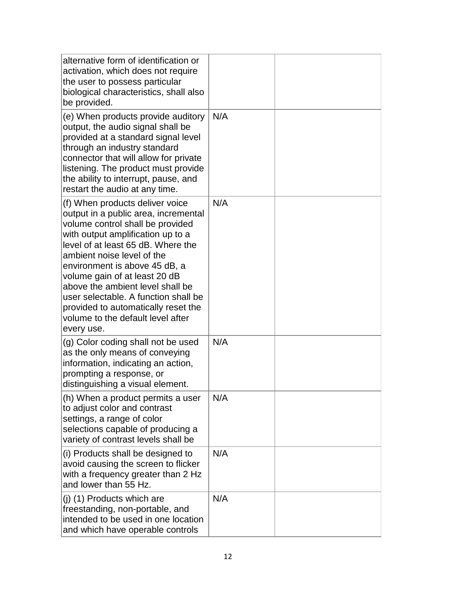| alternative form of identification or<br>activation, which does not require<br>the user to possess particular<br>biological characteristics, shall also<br>be provided.                                                                                                                                                                                                                                                                                      |     |  |
|--------------------------------------------------------------------------------------------------------------------------------------------------------------------------------------------------------------------------------------------------------------------------------------------------------------------------------------------------------------------------------------------------------------------------------------------------------------|-----|--|
| (e) When products provide auditory<br>output, the audio signal shall be<br>provided at a standard signal level<br>through an industry standard<br>connector that will allow for private<br>listening. The product must provide<br>the ability to interrupt, pause, and<br>restart the audio at any time.                                                                                                                                                     | N/A |  |
| (f) When products deliver voice<br>output in a public area, incremental<br>volume control shall be provided<br>with output amplification up to a<br>level of at least 65 dB. Where the<br>ambient noise level of the<br>environment is above 45 dB, a<br>volume gain of at least 20 dB<br>above the ambient level shall be<br>user selectable. A function shall be<br>provided to automatically reset the<br>volume to the default level after<br>every use. | N/A |  |
| (g) Color coding shall not be used<br>as the only means of conveying<br>information, indicating an action,<br>prompting a response, or<br>distinguishing a visual element.                                                                                                                                                                                                                                                                                   | N/A |  |
| (h) When a product permits a user<br>to adjust color and contrast<br>settings, a range of color<br>selections capable of producing a<br>variety of contrast levels shall be                                                                                                                                                                                                                                                                                  | N/A |  |
| (i) Products shall be designed to<br>avoid causing the screen to flicker<br>with a frequency greater than 2 Hz<br>and lower than 55 Hz.                                                                                                                                                                                                                                                                                                                      | N/A |  |
| $(i)$ (1) Products which are<br>freestanding, non-portable, and<br>intended to be used in one location<br>and which have operable controls                                                                                                                                                                                                                                                                                                                   | N/A |  |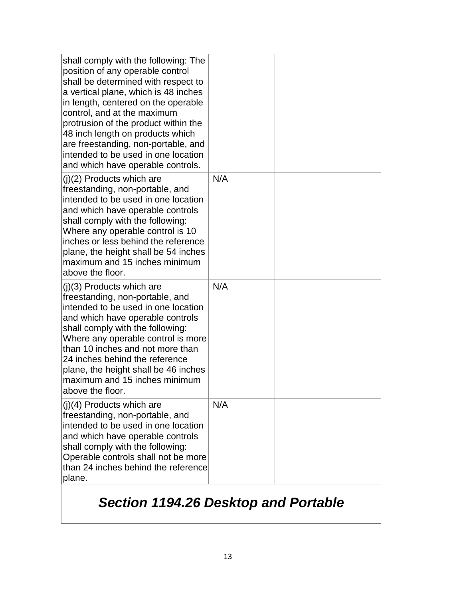| shall comply with the following: The<br>position of any operable control<br>shall be determined with respect to<br>a vertical plane, which is 48 inches<br>in length, centered on the operable<br>control, and at the maximum<br>protrusion of the product within the<br>48 inch length on products which<br>are freestanding, non-portable, and<br>intended to be used in one location<br>and which have operable controls. |     |  |
|------------------------------------------------------------------------------------------------------------------------------------------------------------------------------------------------------------------------------------------------------------------------------------------------------------------------------------------------------------------------------------------------------------------------------|-----|--|
| $(j)(2)$ Products which are<br>freestanding, non-portable, and<br>intended to be used in one location<br>and which have operable controls<br>shall comply with the following:<br>Where any operable control is 10<br>inches or less behind the reference<br>plane, the height shall be 54 inches<br>maximum and 15 inches minimum<br>above the floor.                                                                        | N/A |  |
| $(j)(3)$ Products which are<br>freestanding, non-portable, and<br>intended to be used in one location<br>and which have operable controls<br>shall comply with the following:<br>Where any operable control is more<br>than 10 inches and not more than<br>24 inches behind the reference<br>plane, the height shall be 46 inches<br>maximum and 15 inches minimum<br>above the floor.                                       | N/A |  |
| $(i)(4)$ Products which are<br>freestanding, non-portable, and<br>intended to be used in one location<br>and which have operable controls<br>shall comply with the following:<br>Operable controls shall not be more<br>than 24 inches behind the reference<br>plane.                                                                                                                                                        | N/A |  |

## *Section 1194.26 Desktop and Portable*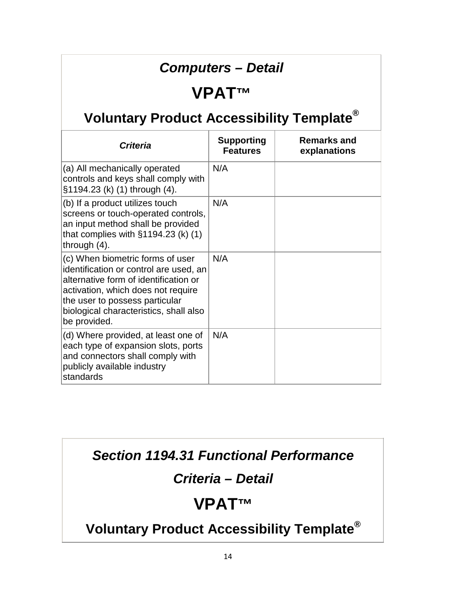#### *Computers – Detail*

#### **VPAT™**

## **Voluntary Product Accessibility Template®**

| <b>Criteria</b>                                                                                                                                                                                                                                       | <b>Supporting</b><br><b>Features</b> | <b>Remarks and</b><br>explanations |
|-------------------------------------------------------------------------------------------------------------------------------------------------------------------------------------------------------------------------------------------------------|--------------------------------------|------------------------------------|
| (a) All mechanically operated<br>controls and keys shall comply with<br>§1194.23 (k) (1) through (4).                                                                                                                                                 | N/A                                  |                                    |
| (b) If a product utilizes touch<br>screens or touch-operated controls,<br>an input method shall be provided<br>that complies with $\S1194.23$ (k) (1)<br>through $(4)$ .                                                                              | N/A                                  |                                    |
| (c) When biometric forms of user<br>identification or control are used, an<br>alternative form of identification or<br>activation, which does not require<br>the user to possess particular<br>biological characteristics, shall also<br>be provided. | N/A                                  |                                    |
| (d) Where provided, at least one of<br>each type of expansion slots, ports<br>and connectors shall comply with<br>publicly available industry<br>standards                                                                                            | N/A                                  |                                    |

#### *Section 1194.31 Functional Performance*

#### *Criteria – Detail*

## **VPAT™**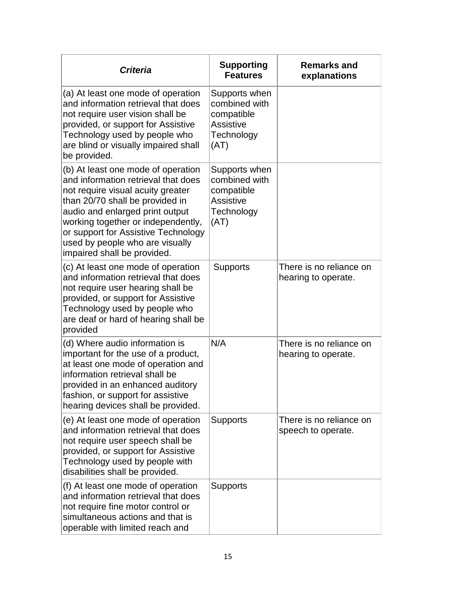| <b>Criteria</b>                                                                                                                                                                                                                                                                                                                     | <b>Supporting</b><br><b>Features</b>                                                   | <b>Remarks and</b><br>explanations             |
|-------------------------------------------------------------------------------------------------------------------------------------------------------------------------------------------------------------------------------------------------------------------------------------------------------------------------------------|----------------------------------------------------------------------------------------|------------------------------------------------|
| (a) At least one mode of operation<br>and information retrieval that does<br>not require user vision shall be<br>provided, or support for Assistive<br>Technology used by people who<br>are blind or visually impaired shall<br>be provided.                                                                                        | Supports when<br>combined with<br>compatible<br><b>Assistive</b><br>Technology<br>(AT) |                                                |
| (b) At least one mode of operation<br>and information retrieval that does<br>not require visual acuity greater<br>than 20/70 shall be provided in<br>audio and enlarged print output<br>working together or independently,<br>or support for Assistive Technology<br>used by people who are visually<br>impaired shall be provided. | Supports when<br>combined with<br>compatible<br><b>Assistive</b><br>Technology<br>(AT) |                                                |
| (c) At least one mode of operation<br>and information retrieval that does<br>not require user hearing shall be<br>provided, or support for Assistive<br>Technology used by people who<br>are deaf or hard of hearing shall be<br>provided                                                                                           | Supports                                                                               | There is no reliance on<br>hearing to operate. |
| (d) Where audio information is<br>important for the use of a product,<br>at least one mode of operation and<br>information retrieval shall be<br>provided in an enhanced auditory<br>fashion, or support for assistive<br>hearing devices shall be provided.                                                                        | N/A                                                                                    | There is no reliance on<br>hearing to operate. |
| (e) At least one mode of operation<br>and information retrieval that does<br>not require user speech shall be<br>provided, or support for Assistive<br>Technology used by people with<br>disabilities shall be provided.                                                                                                            | <b>Supports</b>                                                                        | There is no reliance on<br>speech to operate.  |
| (f) At least one mode of operation<br>and information retrieval that does<br>not require fine motor control or<br>simultaneous actions and that is<br>operable with limited reach and                                                                                                                                               | <b>Supports</b>                                                                        |                                                |